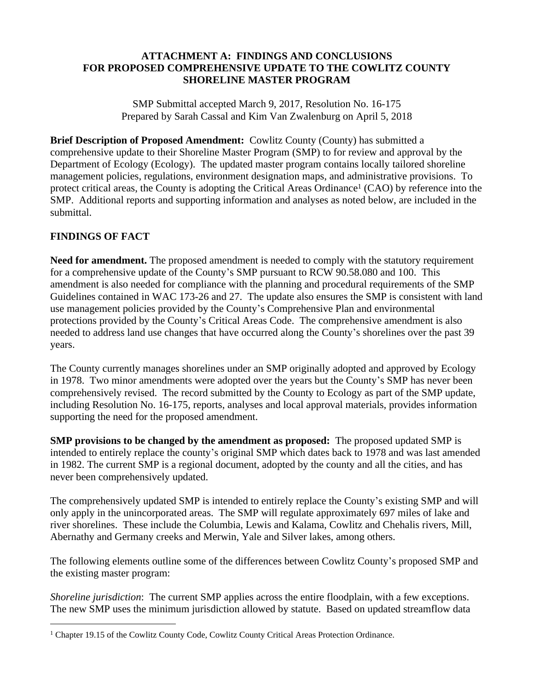## **ATTACHMENT A: FINDINGS AND CONCLUSIONS FOR PROPOSED COMPREHENSIVE UPDATE TO THE COWLITZ COUNTY SHORELINE MASTER PROGRAM**

SMP Submittal accepted March 9, 2017, Resolution No. 16-175 Prepared by Sarah Cassal and Kim Van Zwalenburg on April 5, 2018

**Brief Description of Proposed Amendment:** Cowlitz County (County) has submitted a comprehensive update to their Shoreline Master Program (SMP) to for review and approval by the Department of Ecology (Ecology). The updated master program contains locally tailored shoreline management policies, regulations, environment designation maps, and administrative provisions. To protect critical areas, the County is adopting the Critical Areas Ordinance<sup>1</sup> (CAO) by reference into the SMP. Additional reports and supporting information and analyses as noted below, are included in the submittal.

## **FINDINGS OF FACT**

**Need for amendment.** The proposed amendment is needed to comply with the statutory requirement for a comprehensive update of the County's SMP pursuant to RCW 90.58.080 and 100. This amendment is also needed for compliance with the planning and procedural requirements of the SMP Guidelines contained in WAC 173-26 and 27. The update also ensures the SMP is consistent with land use management policies provided by the County's Comprehensive Plan and environmental protections provided by the County's Critical Areas Code. The comprehensive amendment is also needed to address land use changes that have occurred along the County's shorelines over the past 39 years.

The County currently manages shorelines under an SMP originally adopted and approved by Ecology in 1978. Two minor amendments were adopted over the years but the County's SMP has never been comprehensively revised. The record submitted by the County to Ecology as part of the SMP update, including Resolution No. 16-175, reports, analyses and local approval materials, provides information supporting the need for the proposed amendment.

**SMP provisions to be changed by the amendment as proposed:** The proposed updated SMP is intended to entirely replace the county's original SMP which dates back to 1978 and was last amended in 1982. The current SMP is a regional document, adopted by the county and all the cities, and has never been comprehensively updated.

The comprehensively updated SMP is intended to entirely replace the County's existing SMP and will only apply in the unincorporated areas. The SMP will regulate approximately 697 miles of lake and river shorelines. These include the Columbia, Lewis and Kalama, Cowlitz and Chehalis rivers, Mill, Abernathy and Germany creeks and Merwin, Yale and Silver lakes, among others.

The following elements outline some of the differences between Cowlitz County's proposed SMP and the existing master program:

*Shoreline jurisdiction*: The current SMP applies across the entire floodplain, with a few exceptions. The new SMP uses the minimum jurisdiction allowed by statute. Based on updated streamflow data

<sup>1</sup> Chapter 19.15 of the Cowlitz County Code, Cowlitz County Critical Areas Protection Ordinance.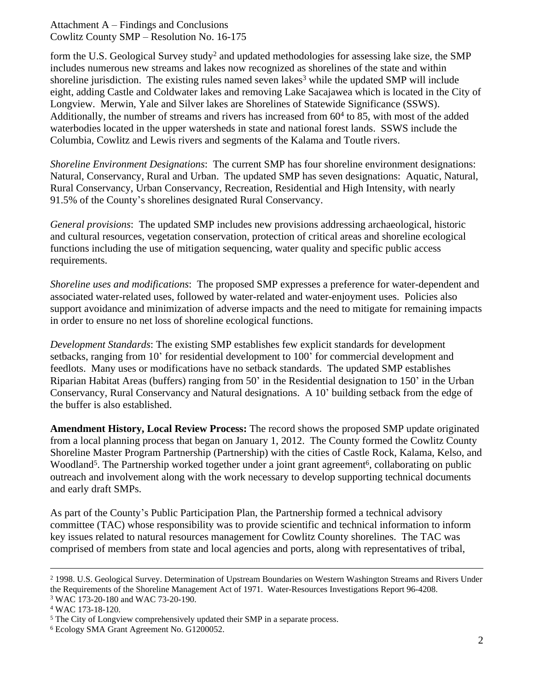form the U.S. Geological Survey study<sup>2</sup> and updated methodologies for assessing lake size, the SMP includes numerous new streams and lakes now recognized as shorelines of the state and within shoreline jurisdiction. The existing rules named seven lakes<sup>3</sup> while the updated SMP will include eight, adding Castle and Coldwater lakes and removing Lake Sacajawea which is located in the City of Longview. Merwin, Yale and Silver lakes are Shorelines of Statewide Significance (SSWS). Additionally, the number of streams and rivers has increased from 60<sup>4</sup> to 85, with most of the added waterbodies located in the upper watersheds in state and national forest lands. SSWS include the Columbia, Cowlitz and Lewis rivers and segments of the Kalama and Toutle rivers.

*Shoreline Environment Designations*: The current SMP has four shoreline environment designations: Natural, Conservancy, Rural and Urban. The updated SMP has seven designations: Aquatic, Natural, Rural Conservancy, Urban Conservancy, Recreation, Residential and High Intensity, with nearly 91.5% of the County's shorelines designated Rural Conservancy.

*General provisions*: The updated SMP includes new provisions addressing archaeological, historic and cultural resources, vegetation conservation, protection of critical areas and shoreline ecological functions including the use of mitigation sequencing, water quality and specific public access requirements.

*Shoreline uses and modifications*: The proposed SMP expresses a preference for water-dependent and associated water-related uses, followed by water-related and water-enjoyment uses. Policies also support avoidance and minimization of adverse impacts and the need to mitigate for remaining impacts in order to ensure no net loss of shoreline ecological functions.

*Development Standards*: The existing SMP establishes few explicit standards for development setbacks, ranging from 10' for residential development to 100' for commercial development and feedlots. Many uses or modifications have no setback standards. The updated SMP establishes Riparian Habitat Areas (buffers) ranging from 50' in the Residential designation to 150' in the Urban Conservancy, Rural Conservancy and Natural designations. A 10' building setback from the edge of the buffer is also established.

**Amendment History, Local Review Process:** The record shows the proposed SMP update originated from a local planning process that began on January 1, 2012. The County formed the Cowlitz County Shoreline Master Program Partnership (Partnership) with the cities of Castle Rock, Kalama, Kelso, and Woodland<sup>5</sup>. The Partnership worked together under a joint grant agreement<sup>6</sup>, collaborating on public outreach and involvement along with the work necessary to develop supporting technical documents and early draft SMPs.

As part of the County's Public Participation Plan, the Partnership formed a technical advisory committee (TAC) whose responsibility was to provide scientific and technical information to inform key issues related to natural resources management for Cowlitz County shorelines. The TAC was comprised of members from state and local agencies and ports, along with representatives of tribal,

<sup>2</sup> 1998. U.S. Geological Survey. Determination of Upstream Boundaries on Western Washington Streams and Rivers Under the Requirements of the Shoreline Management Act of 1971. Water-Resources Investigations Report 96-4208. 3 WAC 173-20-180 and WAC 73-20-190.

<sup>4</sup> WAC 173-18-120.

<sup>&</sup>lt;sup>5</sup> The City of Longview comprehensively updated their SMP in a separate process.

<sup>6</sup> Ecology SMA Grant Agreement No. G1200052.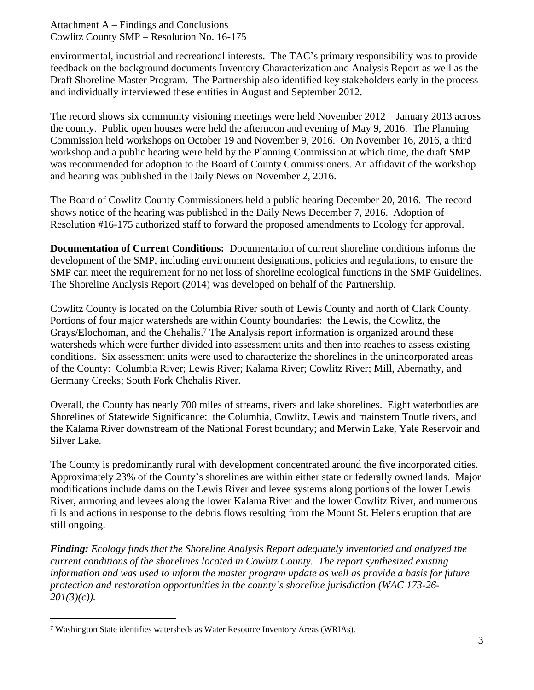environmental, industrial and recreational interests. The TAC's primary responsibility was to provide feedback on the background documents Inventory Characterization and Analysis Report as well as the Draft Shoreline Master Program. The Partnership also identified key stakeholders early in the process and individually interviewed these entities in August and September 2012.

The record shows six community visioning meetings were held November 2012 – January 2013 across the county. Public open houses were held the afternoon and evening of May 9, 2016. The Planning Commission held workshops on October 19 and November 9, 2016. On November 16, 2016, a third workshop and a public hearing were held by the Planning Commission at which time, the draft SMP was recommended for adoption to the Board of County Commissioners. An affidavit of the workshop and hearing was published in the Daily News on November 2, 2016.

The Board of Cowlitz County Commissioners held a public hearing December 20, 2016. The record shows notice of the hearing was published in the Daily News December 7, 2016. Adoption of Resolution #16-175 authorized staff to forward the proposed amendments to Ecology for approval.

**Documentation of Current Conditions:** Documentation of current shoreline conditions informs the development of the SMP, including environment designations, policies and regulations, to ensure the SMP can meet the requirement for no net loss of shoreline ecological functions in the SMP Guidelines. The Shoreline Analysis Report (2014) was developed on behalf of the Partnership.

Cowlitz County is located on the Columbia River south of Lewis County and north of Clark County. Portions of four major watersheds are within County boundaries: the Lewis, the Cowlitz, the Grays/Elochoman, and the Chehalis.<sup>7</sup> The Analysis report information is organized around these watersheds which were further divided into assessment units and then into reaches to assess existing conditions. Six assessment units were used to characterize the shorelines in the unincorporated areas of the County: Columbia River; Lewis River; Kalama River; Cowlitz River; Mill, Abernathy, and Germany Creeks; South Fork Chehalis River.

Overall, the County has nearly 700 miles of streams, rivers and lake shorelines. Eight waterbodies are Shorelines of Statewide Significance: the Columbia, Cowlitz, Lewis and mainstem Toutle rivers, and the Kalama River downstream of the National Forest boundary; and Merwin Lake, Yale Reservoir and Silver Lake.

The County is predominantly rural with development concentrated around the five incorporated cities. Approximately 23% of the County's shorelines are within either state or federally owned lands. Major modifications include dams on the Lewis River and levee systems along portions of the lower Lewis River, armoring and levees along the lower Kalama River and the lower Cowlitz River, and numerous fills and actions in response to the debris flows resulting from the Mount St. Helens eruption that are still ongoing.

*Finding: Ecology finds that the Shoreline Analysis Report adequately inventoried and analyzed the current conditions of the shorelines located in Cowlitz County. The report synthesized existing information and was used to inform the master program update as well as provide a basis for future protection and restoration opportunities in the county's shoreline jurisdiction (WAC 173-26- 201(3)(c)).*

<sup>7</sup> Washington State identifies watersheds as Water Resource Inventory Areas (WRIAs).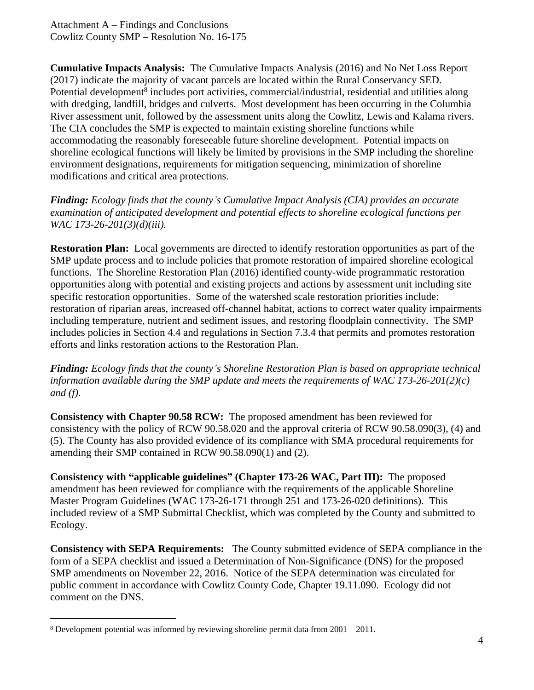**Cumulative Impacts Analysis:** The Cumulative Impacts Analysis (2016) and No Net Loss Report (2017) indicate the majority of vacant parcels are located within the Rural Conservancy SED. Potential development<sup>8</sup> includes port activities, commercial/industrial, residential and utilities along with dredging, landfill, bridges and culverts. Most development has been occurring in the Columbia River assessment unit, followed by the assessment units along the Cowlitz, Lewis and Kalama rivers. The CIA concludes the SMP is expected to maintain existing shoreline functions while accommodating the reasonably foreseeable future shoreline development. Potential impacts on shoreline ecological functions will likely be limited by provisions in the SMP including the shoreline environment designations, requirements for mitigation sequencing, minimization of shoreline modifications and critical area protections.

*Finding: Ecology finds that the county's Cumulative Impact Analysis (CIA) provides an accurate examination of anticipated development and potential effects to shoreline ecological functions per WAC 173-26-201(3)(d)(iii).*

**Restoration Plan:** Local governments are directed to identify restoration opportunities as part of the SMP update process and to include policies that promote restoration of impaired shoreline ecological functions. The Shoreline Restoration Plan (2016) identified county-wide programmatic restoration opportunities along with potential and existing projects and actions by assessment unit including site specific restoration opportunities. Some of the watershed scale restoration priorities include: restoration of riparian areas, increased off-channel habitat, actions to correct water quality impairments including temperature, nutrient and sediment issues, and restoring floodplain connectivity. The SMP includes policies in Section 4.4 and regulations in Section 7.3.4 that permits and promotes restoration efforts and links restoration actions to the Restoration Plan.

*Finding: Ecology finds that the county's Shoreline Restoration Plan is based on appropriate technical information available during the SMP update and meets the requirements of WAC 173-26-201(2)(c) and (f).*

**Consistency with Chapter 90.58 RCW:** The proposed amendment has been reviewed for consistency with the policy of RCW 90.58.020 and the approval criteria of RCW 90.58.090(3), (4) and (5). The County has also provided evidence of its compliance with SMA procedural requirements for amending their SMP contained in RCW 90.58.090(1) and (2).

**Consistency with "applicable guidelines" (Chapter 173-26 WAC, Part III):** The proposed amendment has been reviewed for compliance with the requirements of the applicable Shoreline Master Program Guidelines (WAC 173-26-171 through 251 and 173-26-020 definitions). This included review of a SMP Submittal Checklist, which was completed by the County and submitted to Ecology.

**Consistency with SEPA Requirements:** The County submitted evidence of SEPA compliance in the form of a SEPA checklist and issued a Determination of Non-Significance (DNS) for the proposed SMP amendments on November 22, 2016. Notice of the SEPA determination was circulated for public comment in accordance with Cowlitz County Code, Chapter 19.11.090. Ecology did not comment on the DNS.

<sup>8</sup> Development potential was informed by reviewing shoreline permit data from 2001 – 2011.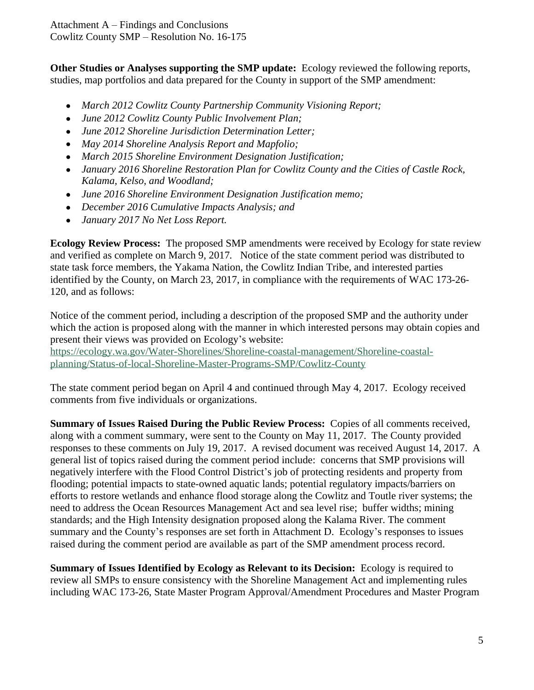**Other Studies or Analyses supporting the SMP update:** Ecology reviewed the following reports, studies, map portfolios and data prepared for the County in support of the SMP amendment:

- *March 2012 Cowlitz County Partnership Community Visioning Report;*
- *June 2012 Cowlitz County Public Involvement Plan;*
- *June 2012 Shoreline Jurisdiction Determination Letter;*
- *May 2014 Shoreline Analysis Report and Mapfolio;*
- *March 2015 Shoreline Environment Designation Justification;*
- *January 2016 Shoreline Restoration Plan for Cowlitz County and the Cities of Castle Rock, Kalama, Kelso, and Woodland;*
- *June 2016 Shoreline Environment Designation Justification memo;*
- *December 2016* C*umulative Impacts Analysis; and*
- *January 2017 No Net Loss Report.*

**Ecology Review Process:** The proposed SMP amendments were received by Ecology for state review and verified as complete on March 9, 2017*.*Notice of the state comment period was distributed to state task force members, the Yakama Nation, the Cowlitz Indian Tribe, and interested parties identified by the County, on March 23, 2017, in compliance with the requirements of WAC 173-26- 120, and as follows:

Notice of the comment period, including a description of the proposed SMP and the authority under which the action is proposed along with the manner in which interested persons may obtain copies and present their views was provided on Ecology's website: [https://ecology.wa.gov/Water-Shorelines/Shoreline-coastal-management/Shoreline-coastal](https://ecology.wa.gov/Water-Shorelines/Shoreline-coastal-management/Shoreline-coastal-planning/Status-of-local-Shoreline-Master-Programs-SMP/Cowlitz-County)planning/Status-of-local-Shoreline-Master-Programs-SMP/Cowlitz-County

The state comment period began on April 4 and continued through May 4, 2017. Ecology received comments from five individuals or organizations.

**Summary of Issues Raised During the Public Review Process:** Copies of all comments received, along with a comment summary, were sent to the County on May 11, 2017. The County provided responses to these comments on July 19, 2017. A revised document was received August 14, 2017. A general list of topics raised during the comment period include: concerns that SMP provisions will negatively interfere with the Flood Control District's job of protecting residents and property from flooding; potential impacts to state-owned aquatic lands; potential regulatory impacts/barriers on efforts to restore wetlands and enhance flood storage along the Cowlitz and Toutle river systems; the need to address the Ocean Resources Management Act and sea level rise; buffer widths; mining standards; and the High Intensity designation proposed along the Kalama River. The comment summary and the County's responses are set forth in Attachment D. Ecology's responses to issues raised during the comment period are available as part of the SMP amendment process record.

**Summary of Issues Identified by Ecology as Relevant to its Decision:** Ecology is required to review all SMPs to ensure consistency with the Shoreline Management Act and implementing rules including WAC 173-26, State Master Program Approval/Amendment Procedures and Master Program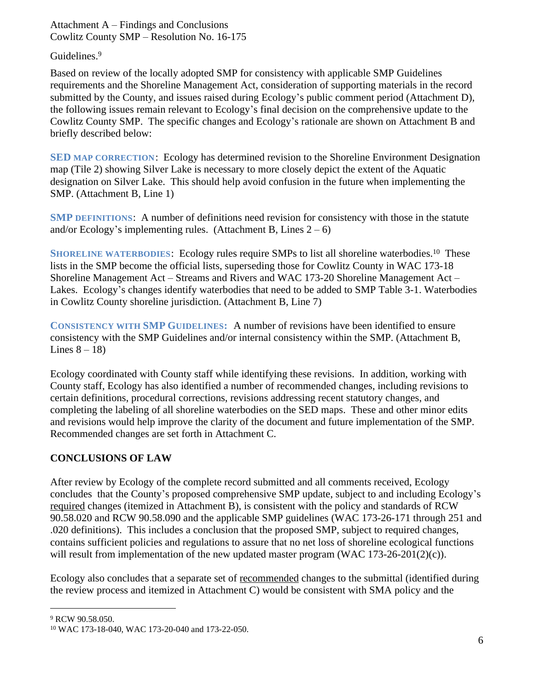Guidelines. 9

Based on review of the locally adopted SMP for consistency with applicable SMP Guidelines requirements and the Shoreline Management Act, consideration of supporting materials in the record submitted by the County, and issues raised during Ecology's public comment period (Attachment D), the following issues remain relevant to Ecology's final decision on the comprehensive update to the Cowlitz County SMP. The specific changes and Ecology's rationale are shown on Attachment B and briefly described below:

**SED MAP CORRECTION**: Ecology has determined revision to the Shoreline Environment Designation map (Tile 2) showing Silver Lake is necessary to more closely depict the extent of the Aquatic designation on Silver Lake. This should help avoid confusion in the future when implementing the SMP. (Attachment B, Line 1)

**SMP DEFINITIONS**: A number of definitions need revision for consistency with those in the statute and/or Ecology's implementing rules. (Attachment B, Lines  $2-6$ )

SHORELINE WATERBODIES: Ecology rules require SMPs to list all shoreline waterbodies.<sup>10</sup> These lists in the SMP become the official lists, superseding those for Cowlitz County in WAC 173-18 Shoreline Management Act – Streams and Rivers and WAC 173-20 Shoreline Management Act – Lakes. Ecology's changes identify waterbodies that need to be added to SMP Table 3-1. Waterbodies in Cowlitz County shoreline jurisdiction. (Attachment B, Line 7)

**CONSISTENCY WITH SMP GUIDELINES:** A number of revisions have been identified to ensure consistency with the SMP Guidelines and/or internal consistency within the SMP. (Attachment B, Lines  $8 - 18$ )

Ecology coordinated with County staff while identifying these revisions. In addition, working with County staff, Ecology has also identified a number of recommended changes, including revisions to certain definitions, procedural corrections, revisions addressing recent statutory changes, and completing the labeling of all shoreline waterbodies on the SED maps. These and other minor edits and revisions would help improve the clarity of the document and future implementation of the SMP. Recommended changes are set forth in Attachment C.

## **CONCLUSIONS OF LAW**

After review by Ecology of the complete record submitted and all comments received, Ecology concludes that the County's proposed comprehensive SMP update, subject to and including Ecology's required changes (itemized in Attachment B), is consistent with the policy and standards of RCW 90.58.020 and RCW 90.58.090 and the applicable SMP guidelines (WAC 173-26-171 through 251 and .020 definitions). This includes a conclusion that the proposed SMP, subject to required changes, contains sufficient policies and regulations to assure that no net loss of shoreline ecological functions will result from implementation of the new updated master program (WAC 173-26-201(2)(c)).

Ecology also concludes that a separate set of <u>recommended</u> changes to the submittal (identified during the review process and itemized in Attachment C) would be consistent with SMA policy and the

<sup>9</sup> RCW 90.58.050.

<sup>10</sup> WAC 173-18-040, WAC 173-20-040 and 173-22-050.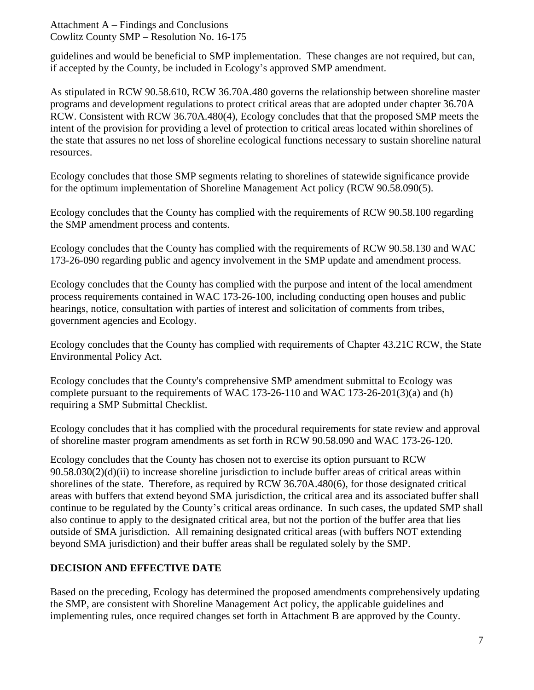guidelines and would be beneficial to SMP implementation. These changes are not required, but can, if accepted by the County, be included in Ecology's approved SMP amendment.

As stipulated in RCW 90.58.610, RCW 36.70A.480 governs the relationship between shoreline master programs and development regulations to protect critical areas that are adopted under chapter 36.70A RCW. Consistent with RCW 36.70A.480(4), Ecology concludes that that the proposed SMP meets the intent of the provision for providing a level of protection to critical areas located within shorelines of the state that assures no net loss of shoreline ecological functions necessary to sustain shoreline natural resources.

Ecology concludes that those SMP segments relating to shorelines of statewide significance provide for the optimum implementation of Shoreline Management Act policy (RCW 90.58.090(5).

Ecology concludes that the County has complied with the requirements of RCW 90.58.100 regarding the SMP amendment process and contents.

Ecology concludes that the County has complied with the requirements of RCW 90.58.130 and WAC 173-26-090 regarding public and agency involvement in the SMP update and amendment process.

Ecology concludes that the County has complied with the purpose and intent of the local amendment process requirements contained in WAC 173-26-100, including conducting open houses and public hearings, notice, consultation with parties of interest and solicitation of comments from tribes, government agencies and Ecology.

Ecology concludes that the County has complied with requirements of Chapter 43.21C RCW, the State Environmental Policy Act.

Ecology concludes that the County's comprehensive SMP amendment submittal to Ecology was complete pursuant to the requirements of WAC 173-26-110 and WAC 173-26-201(3)(a) and (h) requiring a SMP Submittal Checklist.

Ecology concludes that it has complied with the procedural requirements for state review and approval of shoreline master program amendments as set forth in RCW 90.58.090 and WAC 173-26-120.

Ecology concludes that the County has chosen not to exercise its option pursuant to RCW 90.58.030(2)(d)(ii) to increase shoreline jurisdiction to include buffer areas of critical areas within shorelines of the state. Therefore, as required by RCW 36.70A.480(6), for those designated critical areas with buffers that extend beyond SMA jurisdiction, the critical area and its associated buffer shall continue to be regulated by the County's critical areas ordinance. In such cases, the updated SMP shall also continue to apply to the designated critical area, but not the portion of the buffer area that lies outside of SMA jurisdiction. All remaining designated critical areas (with buffers NOT extending beyond SMA jurisdiction) and their buffer areas shall be regulated solely by the SMP.

## **DECISION AND EFFECTIVE DATE**

Based on the preceding, Ecology has determined the proposed amendments comprehensively updating the SMP, are consistent with Shoreline Management Act policy, the applicable guidelines and implementing rules, once required changes set forth in Attachment B are approved by the County.